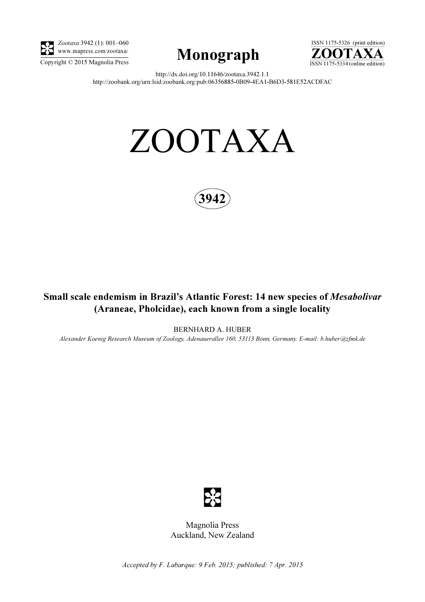

Zootaxa 3942 (1): 001–060 www.mapress.com/zootaxa/





http://dx.doi.org/10.11646/zootaxa.3942.1.1 http://zoobank.org/urn:lsid:zoobank.org:pub:06356885-0B09-4EA1-B6D3-581E52ACDFAC

# ZOOTAXA



# Small scale endemism in Brazil's Atlantic Forest: 14 new species of Mesabolivar (Araneae, Pholcidae), each known from a single locality

BERNHARD A. HUBER

Alexander Koenig Research Museum of Zoology, Adenauerallee 160, 53113 Bonn, Germany. E-mail: b.huber@zfmk.de



Magnolia Press Auckland, New Zealand

Accepted by F. Labarque: 9 Feb. 2015; published: 7 Apr. 2015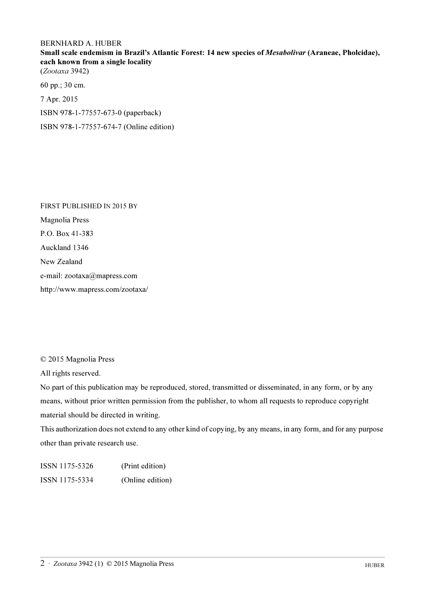## BERNHARD A. HUBER

Small scale endemism in Brazil's Atlantic Forest: 14 new species of Mesabolivar (Araneae, Pholcidae), each known from a single locality

(Zootaxa 3942)

60 pp.; 30 cm.

7 Apr. 2015

ISBN 978-1-77557-673-0 (paperback)

ISBN 978-1-77557-674-7 (Online edition)

FIRST PUBLISHED IN 2015 BY Magnolia Press P.O. Box 41-383 Auckland 1346 New Zealand e-mail: zootaxa@mapress.com http://www.mapress.com/zootaxa/

© 2015 Magnolia Press

All rights reserved.

No part of this publication may be reproduced, stored, transmitted or disseminated, in any form, or by any means, without prior written permission from the publisher, to whom all requests to reproduce copyright material should be directed in writing.

This authorization does not extend to any other kind of copying, by any means, in any form, and for any purpose other than private research use.

ISSN 1175-5326 (Print edition) ISSN 1175-5334 (Online edition)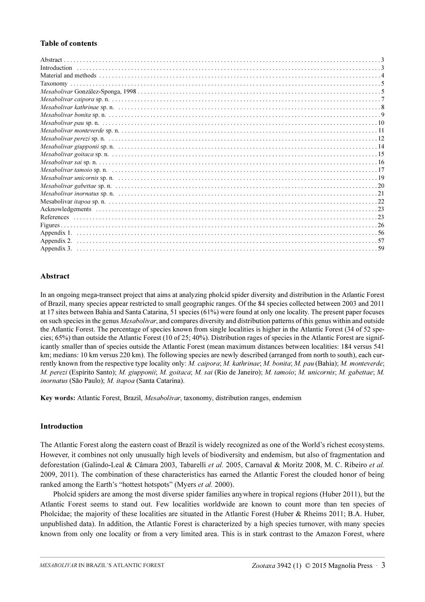## Table of contents

## Abstract

In an ongoing mega-transect project that aims at analyzing pholcid spider diversity and distribution in the Atlantic Forest of Brazil, many species appear restricted to small geographic ranges. Of the 84 species collected between 2003 and 2011 at 17 sites between Bahia and Santa Catarina, 51 species (61%) were found at only one locality. The present paper focuses on such species in the genus *Mesabolivar*, and compares diversity and distribution patterns of this genus within and outside the Atlantic Forest. The percentage of species known from single localities is higher in the Atlantic Forest (34 of 52 species; 65%) than outside the Atlantic Forest (10 of 25; 40%). Distribution rages of species in the Atlantic Forest are significantly smaller than of species outside the Atlantic Forest (mean maximum distances between localities: 184 versus 541 km; medians: 10 km versus 220 km). The following species are newly described (arranged from north to south), each currently known from the respective type locality only: M. caipora; M. kathrinae; M. bonita; M. pau (Bahia); M. monteverde; M. perezi (Espírito Santo); M. giupponii; M. goitaca; M. sai (Rio de Janeiro); M. tamoio; M. unicornis; M. gabettae; M. inornatus (São Paulo); M. itapoa (Santa Catarina).

Key words: Atlantic Forest, Brazil, Mesabolivar, taxonomy, distribution ranges, endemism

## Introduction

The Atlantic Forest along the eastern coast of Brazil is widely recognized as one of the World's richest ecosystems. However, it combines not only unusually high levels of biodiversity and endemism, but also of fragmentation and deforestation (Galindo-Leal & Câmara 2003, Tabarelli et al. 2005, Carnaval & Moritz 2008, M. C. Ribeiro et al. 2009, 2011). The combination of these characteristics has earned the Atlantic Forest the clouded honor of being ranked among the Earth's "hottest hotspots" (Myers *et al.* 2000).

Pholcid spiders are among the most diverse spider families anywhere in tropical regions (Huber 2011), but the Atlantic Forest seems to stand out. Few localities worldwide are known to count more than ten species of Pholcidae; the majority of these localities are situated in the Atlantic Forest (Huber & Rheims 2011; B.A. Huber, unpublished data). In addition, the Atlantic Forest is characterized by a high species turnover, with many species known from only one locality or from a very limited area. This is in stark contrast to the Amazon Forest, where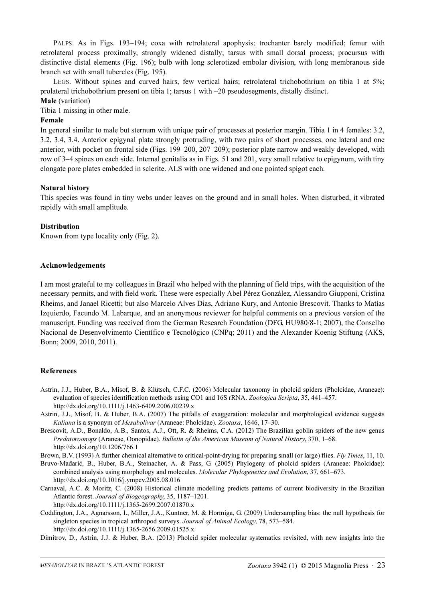PALPS. As in Figs. 193-194; coxa with retrolateral apophysis; trochanter barely modified; femur with retrolateral process proximally, strongly widened distally; tarsus with small dorsal process; procursus with distinctive distal elements (Fig. 196); bulb with long sclerotized embolar division, with long membranous side branch set with small tubercles (Fig. 195).

LEGS. Without spines and curved hairs, few vertical hairs; retrolateral trichobothrium on tibia 1 at 5%; prolateral trichobothrium present on tibia 1; tarsus 1 with ~20 pseudosegments, distally distinct.

# Male (variation)

Tibia 1 missing in other male.

## Female

In general similar to male but sternum with unique pair of processes at posterior margin. Tibia 1 in 4 females: 3.2, 3.2, 3.4, 3.4. Anterior epigynal plate strongly protruding, with two pairs of short processes, one lateral and one anterior, with pocket on frontal side (Figs. 199–200, 207–209); posterior plate narrow and weakly developed, with row of 3–4 spines on each side. Internal genitalia as in Figs. 51 and 201, very small relative to epigynum, with tiny elongate pore plates embedded in sclerite. ALS with one widened and one pointed spigot each.

## Natural history

This species was found in tiny webs under leaves on the ground and in small holes. When disturbed, it vibrated rapidly with small amplitude.

## **Distribution**

Known from type locality only (Fig. 2).

## Acknowledgements

I am most grateful to my colleagues in Brazil who helped with the planning of field trips, with the acquisition of the necessary permits, and with field work. These were especially Abel Pérez González, Alessandro Giupponi, Cristina Rheims, and Janael Ricetti; but also Marcelo Alves Dias, Adriano Kury, and Antonio Brescovit. Thanks to Matías Izquierdo, Facundo M. Labarque, and an anonymous reviewer for helpful comments on a previous version of the manuscript. Funding was received from the German Research Foundation (DFG, HU980/8-1; 2007), the Conselho Nacional de Desenvolvimento Científico e Tecnológico (CNPq; 2011) and the Alexander Koenig Stiftung (AKS, Bonn; 2009, 2010, 2011).

## References

- Astrin, J.J., Huber, B.A., Misof, B. & Klütsch, C.F.C. (2006) Molecular taxonomy in pholcid spiders (Pholcidae, Araneae): evaluation of species identification methods using CO1 and 16S rRNA. Zoologica Scripta, 35, 441–457. http://dx.doi.org/10.1111/j.1463-6409.2006.00239.x
- Astrin, J.J., Misof, B. & Huber, B.A. (2007) The pitfalls of exaggeration: molecular and morphological evidence suggests Kaliana is a synonym of Mesabolivar (Araneae: Pholcidae). Zootaxa, 1646, 17–30.
- Brescovit, A.D., Bonaldo, A.B., Santos, A.J., Ott, R. & Rheims, C.A. (2012) The Brazilian goblin spiders of the new genus Predatoroonops (Araneae, Oonopidae). Bulletin of the American Museum of Natural History, 370, 1–68. http://dx.doi.org/10.1206/766.1

Brown, B.V. (1993) A further chemical alternative to critical-point-drying for preparing small (or large) flies. Fly Times, 11, 10.

Bruvo-Mađarić, B., Huber, B.A., Steinacher, A. & Pass, G. (2005) Phylogeny of pholcid spiders (Araneae: Pholcidae): combined analysis using morphology and molecules. Molecular Phylogenetics and Evolution, 37, 661–673. http://dx.doi.org/10.1016/j.ympev.2005.08.016

- Carnaval, A.C. & Moritz, C. (2008) Historical climate modelling predicts patterns of current biodiversity in the Brazilian Atlantic forest. Journal of Biogeography, 35, 1187–1201. http://dx.doi.org/10.1111/j.1365-2699.2007.01870.x
- Coddington, J.A., Agnarsson, I., Miller, J.A., Kuntner, M. & Hormiga, G. (2009) Undersampling bias: the null hypothesis for singleton species in tropical arthropod surveys. Journal of Animal Ecology, 78, 573–584. http://dx.doi.org/10.1111/j.1365-2656.2009.01525.x

Dimitrov, D., Astrin, J.J. & Huber, B.A. (2013) Pholcid spider molecular systematics revisited, with new insights into the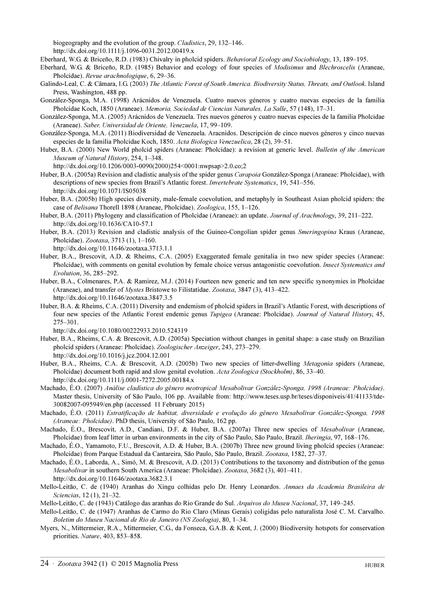biogeography and the evolution of the group. Cladistics, 29, 132–146.

http://dx.doi.org/10.1111/j.1096-0031.2012.00419.x

- Eberhard, W.G. & Briceño, R.D. (1983) Chivalry in pholcid spiders. Behavioral Ecology and Sociobiology, 13, 189–195.
- Eberhard, W.G. & Briceño, R.D. (1985) Behavior and ecology of four species of Modisimus and Blechroscelis (Araneae, Pholcidae). Revue arachnologique, 6, 29–36.
- Galindo-Leal, C. & Câmara, I.G. (2003) The Atlantic Forest of South America. Biodiversity Status, Threats, and Outlook. Island Press, Washington, 488 pp.
- González-Sponga, M.A. (1998) Arácnidos de Venezuela. Cuatro nuevos géneros y cuatro nuevas especies de la familia Pholcidae Koch, 1850 (Araneae). Memoria, Sociedad de Ciencias Naturales, La Salle, 57 (148), 17–31.
- González-Sponga, M.A. (2005) Arácnidos de Venezuela. Tres nuevos géneros y cuatro nuevas especies de la familia Pholcidae (Araneae). Saber, Universidad de Oriente, Venezuela, 17, 99–109.
- González-Sponga, M.A. (2011) Biodiversidad de Venezuela. Aracnidos. Descripción de cinco nuevos géneros y cinco nuevas especies de la familia Pholcidae Koch, 1850. Acta Biologica Venezuelica, 28 (2), 39–51.
- Huber, B.A. (2000) New World pholcid spiders (Araneae: Pholcidae): a revision at generic level. Bulletin of the American Museum of Natural History, 254, 1–348.

http://dx.doi.org/10.1206/0003-0090(2000)254<0001:nwpsap>2.0.co;2

- Huber, B.A. (2005a) Revision and cladistic analysis of the spider genus Carapoia González-Sponga (Araneae: Pholcidae), with descriptions of new species from Brazil's Atlantic forest. Invertebrate Systematics, 19, 541–556. http://dx.doi.org/10.1071/IS05038
- Huber, B.A. (2005b) High species diversity, male-female coevolution, and metaphyly in Southeast Asian pholcid spiders: the case of Belisana Thorell 1898 (Araneae, Pholcidae). Zoologica, 155, 1–126.
- Huber, B.A. (2011) Phylogeny and classification of Pholcidae (Araneae): an update. Journal of Arachnology, 39, 211–222. http://dx.doi.org/10.1636/CA10-57.1
- Huber, B.A. (2013) Revision and cladistic analysis of the Guineo-Congolian spider genus Smeringopina Kraus (Araneae, Pholcidae). Zootaxa, 3713 (1), 1–160.

http://dx.doi.org/10.11646/zootaxa.3713.1.1

- Huber, B.A., Brescovit, A.D. & Rheims, C.A. (2005) Exaggerated female genitalia in two new spider species (Araneae: Pholcidae), with comments on genital evolution by female choice versus antagonistic coevolution. Insect Systematics and Evolution, 36, 285–292.
- Huber, B.A., Colmenares, P.A. & Ramirez, M.J. (2014) Fourteen new generic and ten new specific synonymies in Pholcidae (Araneae), and transfer of Mystes Bristowe to Filistatidae. Zootaxa, 3847 (3), 413–422. http://dx.doi.org/10.11646/zootaxa.3847.3.5
- Huber, B.A. & Rheims, C.A. (2011) Diversity and endemism of pholcid spiders in Brazil's Atlantic Forest, with descriptions of four new species of the Atlantic Forest endemic genus Tupigea (Araneae: Pholcidae). Journal of Natural History, 45, 275–301.

http://dx.doi.org/10.1080/00222933.2010.524319

- Huber, B.A., Rheims, C.A. & Brescovit, A.D. (2005a) Speciation without changes in genital shape: a case study on Brazilian pholcid spiders (Araneae: Pholcidae). Zoologischer Anzeiger, 243, 273–279. http://dx.doi.org/10.1016/j.jcz.2004.12.001
- Huber, B.A., Rheims, C.A. & Brescovit, A.D. (2005b) Two new species of litter-dwelling Metagonia spiders (Araneae, Pholcidae) document both rapid and slow genital evolution. Acta Zoologica (Stockholm), 86, 33–40. http://dx.doi.org/10.1111/j.0001-7272.2005.00184.x
- Machado, É.O. (2007) Análise cladística do gênero neotropical Mesabolivar González-Sponga, 1998 (Araneae: Pholcidae)[.](http://www.teses.usp.br/teses/disponiveis/41/41133/tde-30082007-095949/en.php) [Master thesis, University of São Paulo, 106 pp. Available from: http://www.teses.usp.br/teses/disponiveis/41/41133/tde-](http://www.teses.usp.br/teses/disponiveis/41/41133/tde-30082007-095949/en.php)30082007-095949/en.php (accessed 11 February 2015)
- Machado, É.O. (2011) Estratificação de habitat, diversidade e evolução do gênero Mesabolivar González-Sponga, 1998 (Araneae: Pholcidae). PhD thesis, University of São Paulo, 162 pp.
- Machado, É.O., Brescovit, A.D., Candiani, D.F. & Huber, B.A. (2007a) Three new species of *Mesabolivar* (Araneae, Pholcidae) from leaf litter in urban environments in the city of São Paulo, São Paulo, Brazil. Iheringia, 97, 168–176.
- Machado, É.O., Yamamoto, F.U., Brescovit, A.D. & Huber, B.A. (2007b) Three new ground living pholcid species (Araneae: Pholcidae) from Parque Estadual da Cantareira, São Paulo, São Paulo, Brazil. Zootaxa, 1582, 27–37.
- Machado, É.O., Laborda, A., Simó, M. & Brescovit, A.D. (2013) Contributions to the taxonomy and distribution of the genus Mesabolivar in southern South America (Araneae: Pholcidae). Zootaxa, 3682 (3), 401–411. http://dx.doi.org/10.11646/zootaxa.3682.3.1
- Mello-Leitão, C. de (1940) Aranhas do Xingu colhidas pelo Dr. Henry Leonardos. Annaes da Academia Brasileira de Sciencias, 12 (1), 21–32.
- Mello-Leitão, C. de (1943) Catálogo das aranhas do Rio Grande do Sul. Arquivos do Museu Nacional, 37, 149–245.
- Mello-Leitão, C. de (1947) Aranhas de Carmo do Rio Claro (Minas Gerais) coligidas pelo naturalista José C. M. Carvalho. Boletim do Museu Nacional de Rio de Janeiro (NS Zoologia), 80, 1–34.
- Myers, N., Mittermeier, R.A., Mittermeier, C.G., da Fonseca, G.A.B. & Kent, J. (2000) Biodiversity hotspots for conservation priorities. Nature, 403, 853–858.